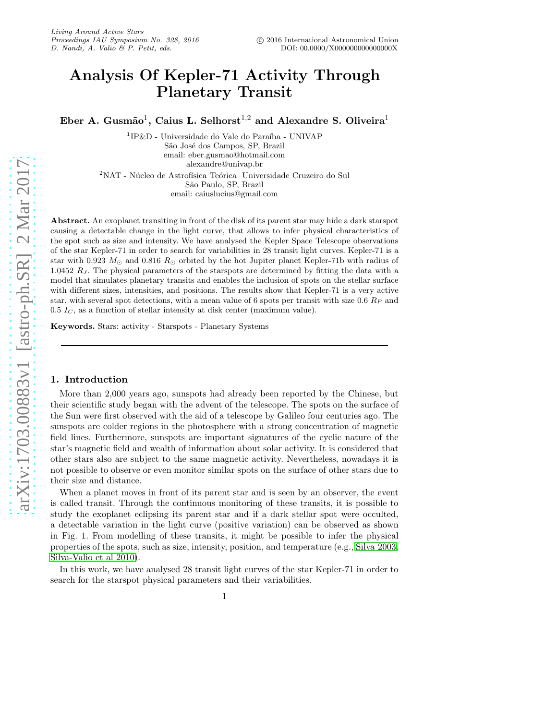# Analysis Of Kepler-71 Activity Through Planetary Transit

Eber A. Gusmão<sup>1</sup>, Caius L. Selhorst<sup>1,2</sup> and Alexandre S. Oliveira<sup>1</sup>

 $^{1}$ IP&D - Universidade do Vale do Paraíba - UNIVAP São José dos Campos, SP, Brazil email: eber.gusmao@hotmail.com alexandre@univap.br

 $2'NAT$  - Núcleo de Astrofísica Teórica Universidade Cruzeiro do Sul S˜ao Paulo, SP, Brazil email: caiuslucius@gmail.com

Abstract. An exoplanet transiting in front of the disk of its parent star may hide a dark starspot causing a detectable change in the light curve, that allows to infer physical characteristics of the spot such as size and intensity. We have analysed the Kepler Space Telescope observations of the star Kepler-71 in order to search for variabilities in 28 transit light curves. Kepler-71 is a star with 0.923  $M_{\odot}$  and 0.816  $R_{\odot}$  orbited by the hot Jupiter planet Kepler-71b with radius of 1.0452  $R_J$ . The physical parameters of the starspots are determined by fitting the data with a model that simulates planetary transits and enables the inclusion of spots on the stellar surface with different sizes, intensities, and positions. The results show that Kepler-71 is a very active star, with several spot detections, with a mean value of 6 spots per transit with size 0.6  $R_P$  and  $0.5 I<sub>C</sub>$ , as a function of stellar intensity at disk center (maximum value).

Keywords. Stars: activity - Starspots - Planetary Systems

## 1. Introduction

More than 2,000 years ago, sunspots had already been reported by the Chinese, but their scientific study began with the advent of the telescope. The spots on the surface of the Sun were first observed with the aid of a telescope by Galileo four centuries ago. The sunspots are colder regions in the photosphere with a strong concentration of magnetic field lines. Furthermore, sunspots are important signatures of the cyclic nature of the star's magnetic field and wealth of information about solar activity. It is considered that other stars also are subject to the same magnetic activity. Nevertheless, nowadays it is not possible to observe or even monitor similar spots on the surface of other stars due to their size and distance.

When a planet moves in front of its parent star and is seen by an observer, the event is called transit. Through the continuous monitoring of these transits, it is possible to study the exoplanet eclipsing its parent star and if a dark stellar spot were occulted, a detectable variation in the light curve (positive variation) can be observed as shown in Fig. 1. From modelling of these transits, it might be possible to infer the physical properties of the spots, such as size, intensity, position, and temperature (e.g., [Silva 2003,](#page-2-0) [Silva-Valio et al 2010\)](#page-2-1).

In this work, we have analysed 28 transit light curves of the star Kepler-71 in order to search for the starspot physical parameters and their variabilities.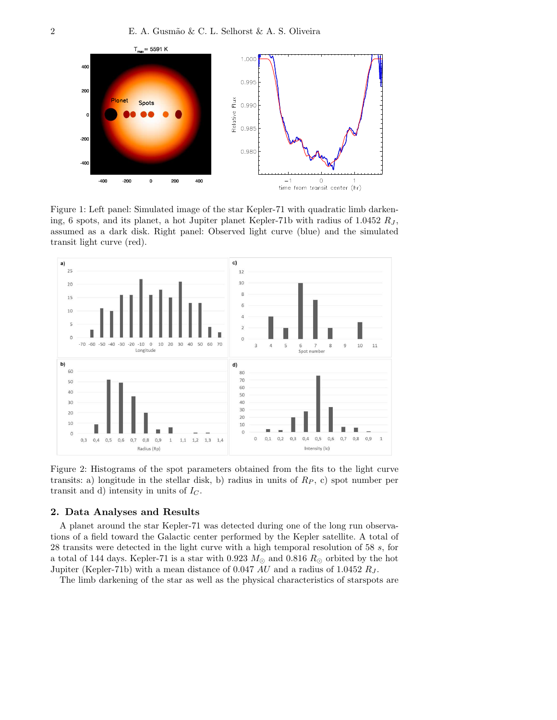

Figure 1: Left panel: Simulated image of the star Kepler-71 with quadratic limb darkening, 6 spots, and its planet, a hot Jupiter planet Kepler-71b with radius of  $1.0452 R_J$ , assumed as a dark disk. Right panel: Observed light curve (blue) and the simulated transit light curve (red).



Figure 2: Histograms of the spot parameters obtained from the fits to the light curve transits: a) longitude in the stellar disk, b) radius in units of  $R_P$ , c) spot number per transit and d) intensity in units of  $I_C$ .

## 2. Data Analyses and Results

A planet around the star Kepler-71 was detected during one of the long run observations of a field toward the Galactic center performed by the Kepler satellite. A total of 28 transits were detected in the light curve with a high temporal resolution of 58 s, for a total of 144 days. Kepler-71 is a star with 0.923  $M_{\odot}$  and 0.816  $R_{\odot}$  orbited by the hot Jupiter (Kepler-71b) with a mean distance of 0.047 AU and a radius of 1.0452  $R_J$ .

The limb darkening of the star as well as the physical characteristics of starspots are